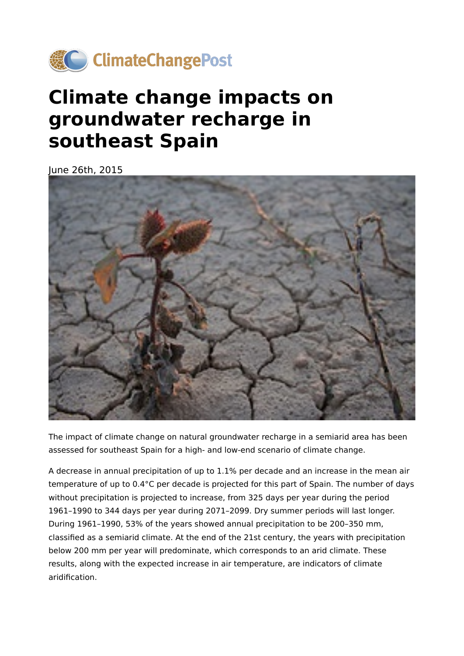

## **Climate change impacts on groundwater recharge in southeast Spain**

June 26th, 2015



The impact of climate change on natural groundwater recharge in a semiarid area has been assessed for southeast Spain for a high- and low-end scenario of climate change.

A decrease in annual precipitation of up to 1.1% per decade and an increase in the mean air temperature of up to 0.4°C per decade is projected for this part of Spain. The number of days without precipitation is projected to increase, from 325 days per year during the period 1961–1990 to 344 days per year during 2071–2099. Dry summer periods will last longer. During 1961–1990, 53% of the years showed annual precipitation to be 200–350 mm, classified as a semiarid climate. At the end of the 21st century, the years with precipitation below 200 mm per year will predominate, which corresponds to an arid climate. These results, along with the expected increase in air temperature, are indicators of climate aridification.